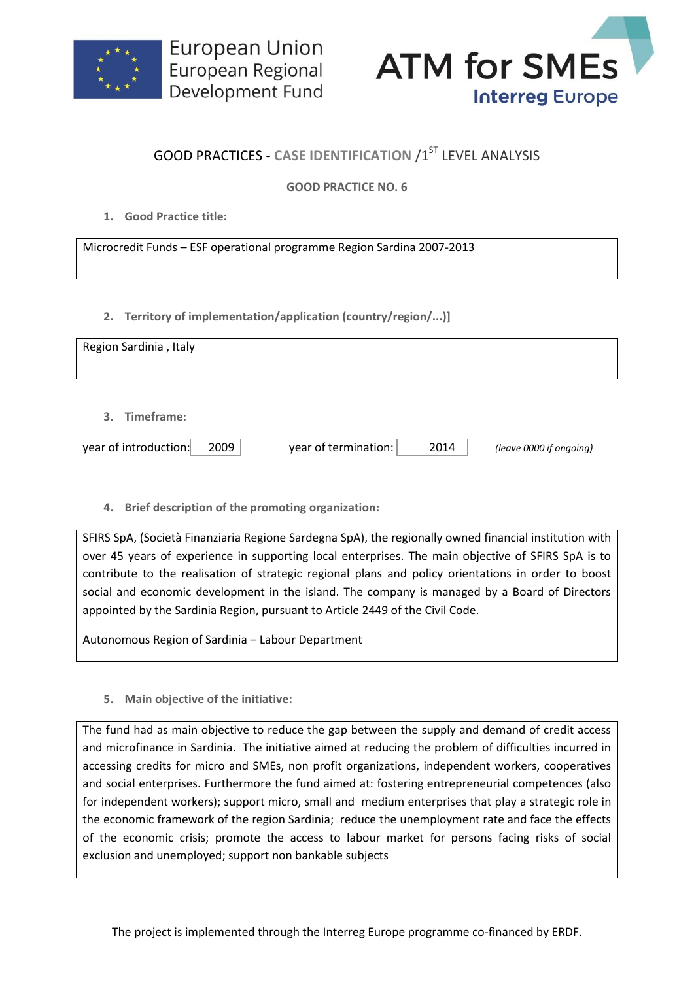



## **GOOD PRACTICES - CASE IDENTIFICATION /1ST LEVEL ANALYSIS**

## **GOOD PRACTICE NO. 6**

**1. Good Practice title:**

Microcredit Funds – ESF operational programme Region Sardina 2007-2013

**2. Territory of implementation/application (country/region/...)]**

| Region Sardinia, Italy        |                              |                         |
|-------------------------------|------------------------------|-------------------------|
| 3. Timeframe:                 |                              |                         |
| 2009<br>year of introduction: | year of termination:<br>2014 | (leave 0000 if ongoing) |

**4. Brief description of the promoting organization:**

SFIRS SpA, (Società Finanziaria Regione Sardegna SpA), the regionally owned financial institution with over 45 years of experience in supporting local enterprises. The main objective of SFIRS SpA is to contribute to the realisation of strategic regional plans and policy orientations in order to boost social and economic development in the island. The company is managed by a Board of Directors appointed by the Sardinia Region, pursuant to Article 2449 of the Civil Code.

Autonomous Region of Sardinia – Labour Department

**5. Main objective of the initiative:**

The fund had as main objective to reduce the gap between the supply and demand of credit access and microfinance in Sardinia. The initiative aimed at reducing the problem of difficulties incurred in accessing credits for micro and SMEs, non profit organizations, independent workers, cooperatives and social enterprises. Furthermore the fund aimed at: fostering entrepreneurial competences (also for independent workers); support micro, small and medium enterprises that play a strategic role in the economic framework of the region Sardinia; reduce the unemployment rate and face the effects of the economic crisis; promote the access to labour market for persons facing risks of social exclusion and unemployed; support non bankable subjects